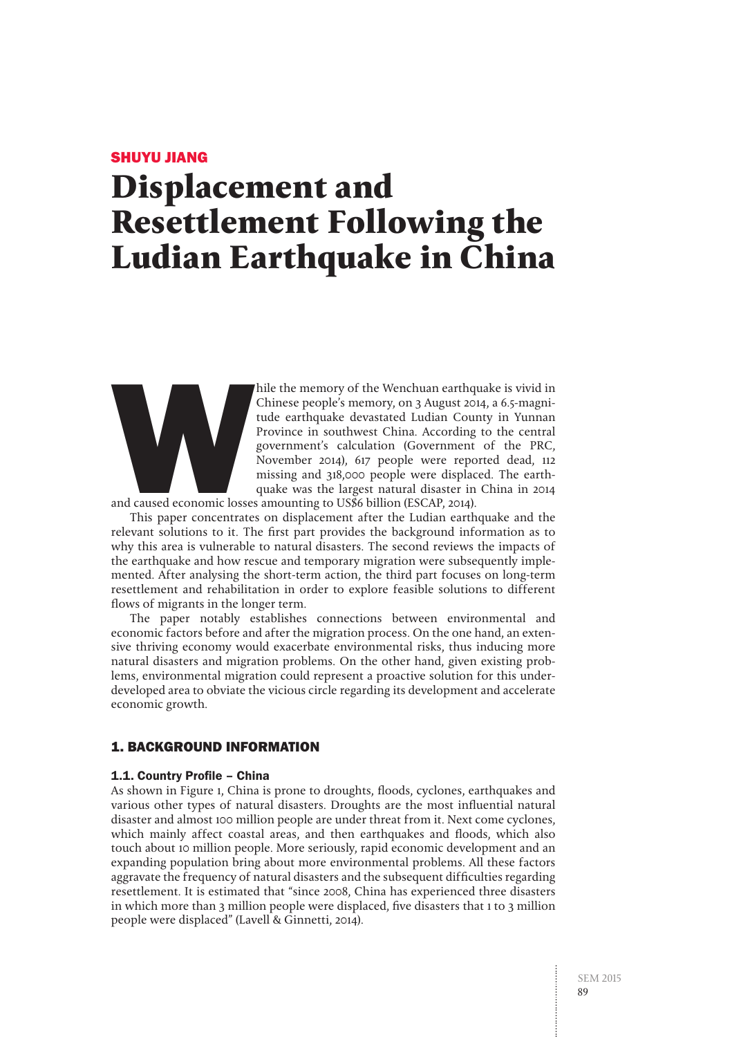#### SHUYU JIANG

# **Displacement and Resettlement Following the Ludian Earthquake in China**



hile the memory of the Wenchuan earthquake is vivid in<br>Chinese people's memory, on 3 August 2014, a 6.5-magni-<br>tude earthquake devastated Ludian County in Yunnan<br>Province in southwest China. According to the central<br>govern Chinese people's memory, on 3 August 2014, a 6.5-magnitude earthquake devastated Ludian County in Yunnan Province in southwest China. According to the central government's calculation (Government of the PRC, November 2014), 617 people were reported dead, 112 missing and 318,000 people were displaced. The earthquake was the largest natural disaster in China in 2014

and caused economic losses amounting to US\$6 billion (ESCAP, 2014).

This paper concentrates on displacement after the Ludian earthquake and the relevant solutions to it. The first part provides the background information as to why this area is vulnerable to natural disasters. The second reviews the impacts of the earthquake and how rescue and temporary migration were subsequently implemented. After analysing the short-term action, the third part focuses on long-term resettlement and rehabilitation in order to explore feasible solutions to different flows of migrants in the longer term.

The paper notably establishes connections between environmental and economic factors before and after the migration process. On the one hand, an extensive thriving economy would exacerbate environmental risks, thus inducing more natural disasters and migration problems. On the other hand, given existing problems, environmental migration could represent a proactive solution for this underdeveloped area to obviate the vicious circle regarding its development and accelerate economic growth.

#### 1. BACKGROUND INFORMATION

#### 1.1. Country Profile – China

As shown in Figure 1, China is prone to droughts, floods, cyclones, earthquakes and various other types of natural disasters. Droughts are the most influential natural disaster and almost 100 million people are under threat from it. Next come cyclones, which mainly affect coastal areas, and then earthquakes and floods, which also touch about 10 million people. More seriously, rapid economic development and an expanding population bring about more environmental problems. All these factors aggravate the frequency of natural disasters and the subsequent difficulties regarding resettlement. It is estimated that "since 2008, China has experienced three disasters in which more than 3 million people were displaced, five disasters that 1 to 3 million people were displaced" (Lavell & Ginnetti, 2014).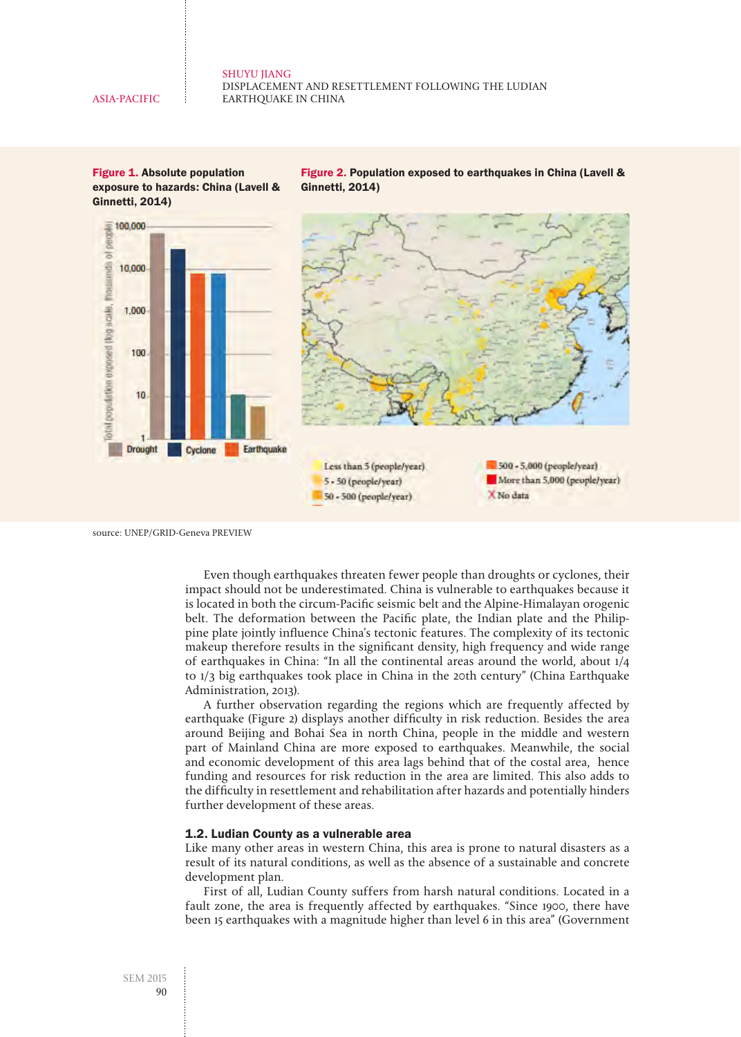Figure 1. Absolute population exposure to hazards: China (Lavell & Ginnetti, 2014)

Figure 2. Population exposed to earthquakes in China (Lavell & Ginnetti, 2014)



source: UNEP/GRID-Geneva PREVIEW

Even though earthquakes threaten fewer people than droughts or cyclones, their impact should not be underestimated. China is vulnerable to earthquakes because it is located in both the circum-Pacific seismic belt and the Alpine-Himalayan orogenic belt. The deformation between the Pacific plate, the Indian plate and the Philippine plate jointly influence China's tectonic features. The complexity of its tectonic makeup therefore results in the significant density, high frequency and wide range of earthquakes in China: "In all the continental areas around the world, about 1/4 to 1/3 big earthquakes took place in China in the 20th century" (China Earthquake Administration, 2013).

A further observation regarding the regions which are frequently affected by earthquake (Figure 2) displays another difficulty in risk reduction. Besides the area around Beijing and Bohai Sea in north China, people in the middle and western part of Mainland China are more exposed to earthquakes. Meanwhile, the social and economic development of this area lags behind that of the costal area, hence funding and resources for risk reduction in the area are limited. This also adds to the difficulty in resettlement and rehabilitation after hazards and potentially hinders further development of these areas.

#### 1.2. Ludian County as a vulnerable area

Like many other areas in western China, this area is prone to natural disasters as a result of its natural conditions, as well as the absence of a sustainable and concrete development plan.

First of all, Ludian County suffers from harsh natural conditions. Located in a fault zone, the area is frequently affected by earthquakes. "Since 1900, there have been 15 earthquakes with a magnitude higher than level 6 in this area" (Government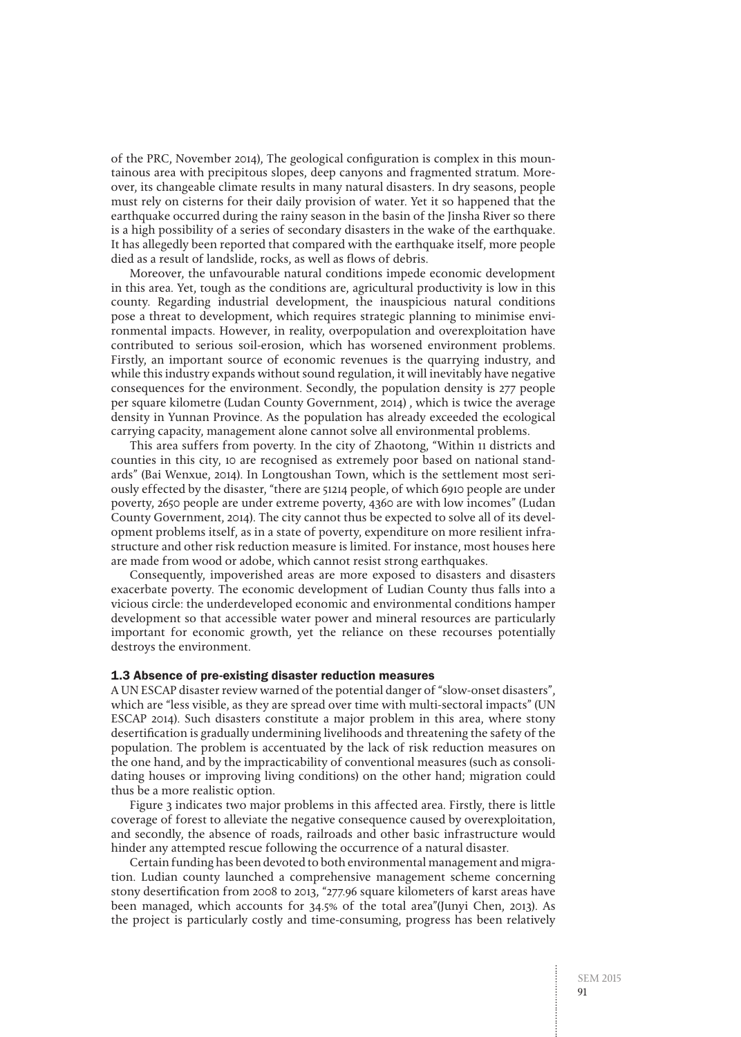of the PRC, November 2014), The geological configuration is complex in this mountainous area with precipitous slopes, deep canyons and fragmented stratum. Moreover, its changeable climate results in many natural disasters. In dry seasons, people must rely on cisterns for their daily provision of water. Yet it so happened that the earthquake occurred during the rainy season in the basin of the Jinsha River so there is a high possibility of a series of secondary disasters in the wake of the earthquake. It has allegedly been reported that compared with the earthquake itself, more people died as a result of landslide, rocks, as well as flows of debris.

Moreover, the unfavourable natural conditions impede economic development in this area. Yet, tough as the conditions are, agricultural productivity is low in this county. Regarding industrial development, the inauspicious natural conditions pose a threat to development, which requires strategic planning to minimise environmental impacts. However, in reality, overpopulation and overexploitation have contributed to serious soil-erosion, which has worsened environment problems. Firstly, an important source of economic revenues is the quarrying industry, and while this industry expands without sound regulation, it will inevitably have negative consequences for the environment. Secondly, the population density is 277 people per square kilometre (Ludan County Government, 2014) , which is twice the average density in Yunnan Province. As the population has already exceeded the ecological carrying capacity, management alone cannot solve all environmental problems.

This area suffers from poverty. In the city of Zhaotong, "Within 11 districts and counties in this city, 10 are recognised as extremely poor based on national standards" (Bai Wenxue, 2014). In Longtoushan Town, which is the settlement most seriously effected by the disaster, "there are 51214 people, of which 6910 people are under poverty, 2650 people are under extreme poverty, 4360 are with low incomes" (Ludan County Government, 2014). The city cannot thus be expected to solve all of its development problems itself, as in a state of poverty, expenditure on more resilient infrastructure and other risk reduction measure is limited. For instance, most houses here are made from wood or adobe, which cannot resist strong earthquakes.

Consequently, impoverished areas are more exposed to disasters and disasters exacerbate poverty. The economic development of Ludian County thus falls into a vicious circle: the underdeveloped economic and environmental conditions hamper development so that accessible water power and mineral resources are particularly important for economic growth, yet the reliance on these recourses potentially destroys the environment.

#### 1.3 Absence of pre-existing disaster reduction measures

A UN ESCAP disaster review warned of the potential danger of "slow-onset disasters", which are "less visible, as they are spread over time with multi-sectoral impacts" (UN ESCAP 2014). Such disasters constitute a major problem in this area, where stony desertification is gradually undermining livelihoods and threatening the safety of the population. The problem is accentuated by the lack of risk reduction measures on the one hand, and by the impracticability of conventional measures (such as consolidating houses or improving living conditions) on the other hand; migration could thus be a more realistic option.

Figure 3 indicates two major problems in this affected area. Firstly, there is little coverage of forest to alleviate the negative consequence caused by overexploitation, and secondly, the absence of roads, railroads and other basic infrastructure would hinder any attempted rescue following the occurrence of a natural disaster.

Certain funding has been devoted to both environmental management and migration. Ludian county launched a comprehensive management scheme concerning stony desertification from 2008 to 2013, "277.96 square kilometers of karst areas have been managed, which accounts for 34.5% of the total area"(Junyi Chen, 2013). As the project is particularly costly and time-consuming, progress has been relatively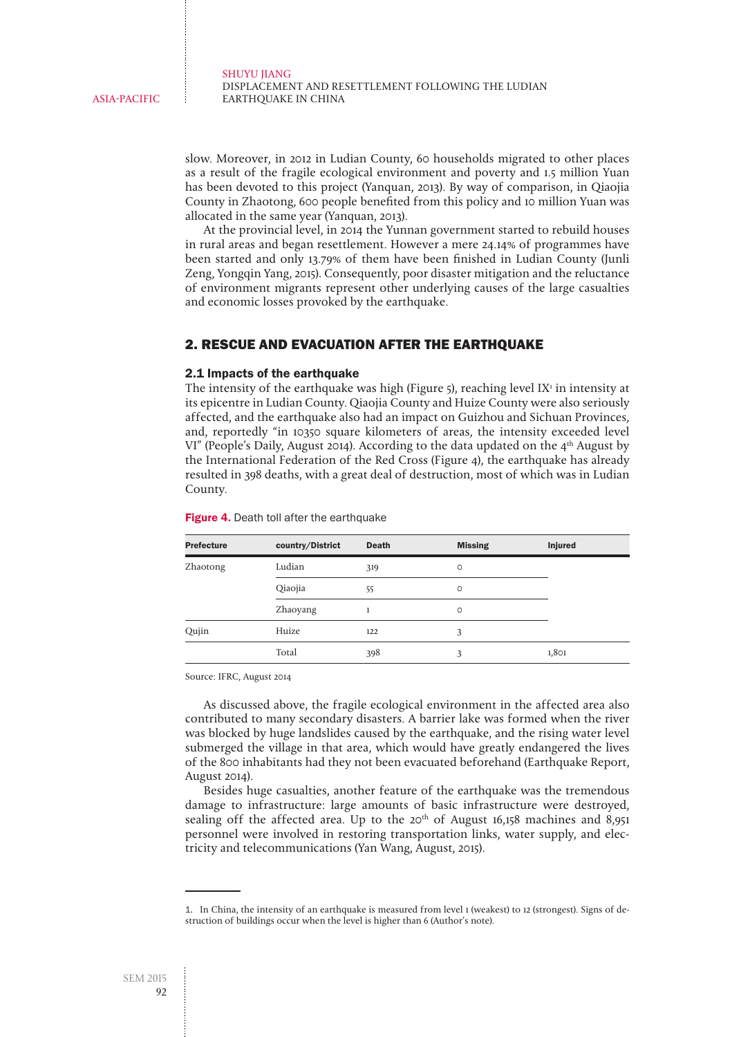slow. Moreover, in 2012 in Ludian County, 60 households migrated to other places as a result of the fragile ecological environment and poverty and 1.5 million Yuan has been devoted to this project (Yanquan, 2013). By way of comparison, in Qiaojia County in Zhaotong, 600 people benefited from this policy and 10 million Yuan was allocated in the same year (Yanquan, 2013).

At the provincial level, in 2014 the Yunnan government started to rebuild houses in rural areas and began resettlement. However a mere 24.14% of programmes have been started and only 13.79% of them have been finished in Ludian County (Junli Zeng, Yongqin Yang, 2015). Consequently, poor disaster mitigation and the reluctance of environment migrants represent other underlying causes of the large casualties and economic losses provoked by the earthquake.

#### 2. RESCUE AND EVACUATION AFTER THE EARTHQUAKE

#### 2.1 Impacts of the earthquake

The intensity of the earthquake was high (Figure  $5$ ), reaching level  $IX<sup>1</sup>$  in intensity at its epicentre in Ludian County. Qiaojia County and Huize County were also seriously affected, and the earthquake also had an impact on Guizhou and Sichuan Provinces, and, reportedly "in 10350 square kilometers of areas, the intensity exceeded level VI" (People's Daily, August 2014). According to the data updated on the  $4<sup>th</sup>$  August by the International Federation of the Red Cross (Figure 4), the earthquake has already resulted in 398 deaths, with a great deal of destruction, most of which was in Ludian County.

| <b>Prefecture</b> | country/District | <b>Death</b> | <b>Missing</b> | <b>Injured</b> |
|-------------------|------------------|--------------|----------------|----------------|
| Zhaotong          | Ludian           | 319          | O              |                |
|                   | Qiaojia          | 55           | $\circ$        |                |
|                   | Zhaoyang         |              | $\circ$        |                |
| Qujin             | Huize            | 122          | 3              |                |
|                   | Total            | 398          | 3              | 1,801          |

Figure 4. Death toll after the earthquake

Source: IFRC, August 2014

As discussed above, the fragile ecological environment in the affected area also contributed to many secondary disasters. A barrier lake was formed when the river was blocked by huge landslides caused by the earthquake, and the rising water level submerged the village in that area, which would have greatly endangered the lives of the 800 inhabitants had they not been evacuated beforehand (Earthquake Report, August 2014).

Besides huge casualties, another feature of the earthquake was the tremendous damage to infrastructure: large amounts of basic infrastructure were destroyed, sealing off the affected area. Up to the 20<sup>th</sup> of August 16,158 machines and 8,951 personnel were involved in restoring transportation links, water supply, and electricity and telecommunications (Yan Wang, August, 2015).

<sup>1.</sup>  In China, the intensity of an earthquake is measured from level 1 (weakest) to 12 (strongest). Signs of destruction of buildings occur when the level is higher than 6 (Author's note).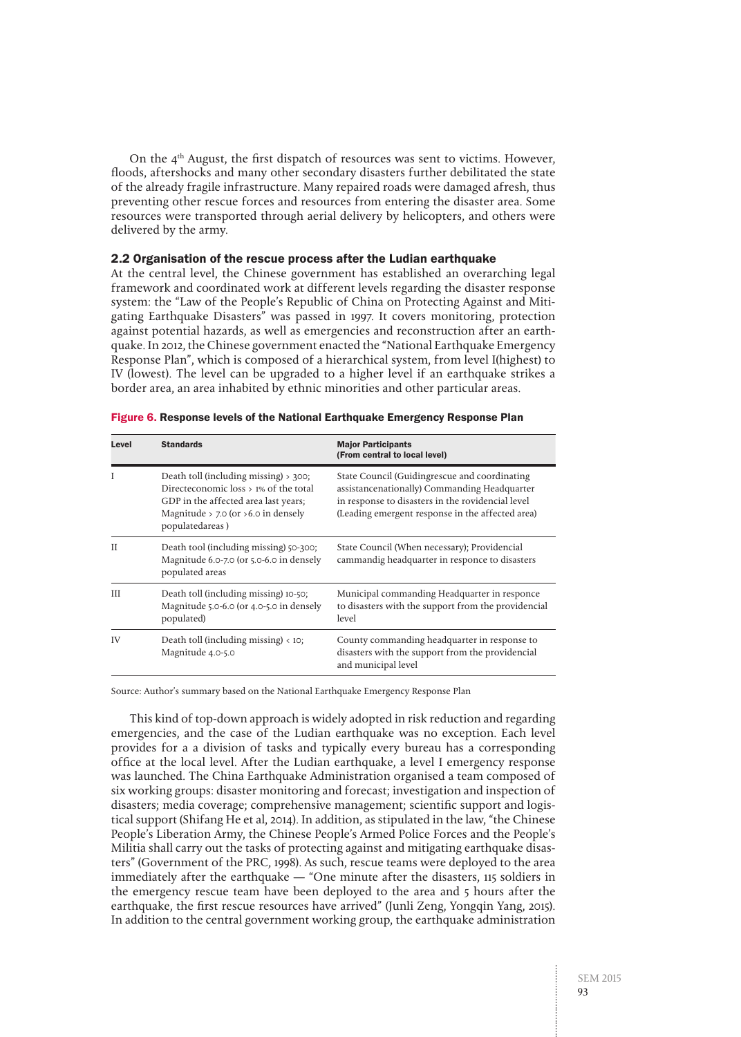On the  $4<sup>th</sup>$  August, the first dispatch of resources was sent to victims. However, floods, aftershocks and many other secondary disasters further debilitated the state of the already fragile infrastructure. Many repaired roads were damaged afresh, thus preventing other rescue forces and resources from entering the disaster area. Some resources were transported through aerial delivery by helicopters, and others were delivered by the army.

#### 2.2 Organisation of the rescue process after the Ludian earthquake

At the central level, the Chinese government has established an overarching legal framework and coordinated work at different levels regarding the disaster response system: the "Law of the People's Republic of China on Protecting Against and Mitigating Earthquake Disasters" was passed in 1997. It covers monitoring, protection against potential hazards, as well as emergencies and reconstruction after an earthquake. In 2012, the Chinese government enacted the "National Earthquake Emergency Response Plan", which is composed of a hierarchical system, from level I(highest) to IV (lowest). The level can be upgraded to a higher level if an earthquake strikes a border area, an area inhabited by ethnic minorities and other particular areas.

| Level | <b>Standards</b>                                                                                                                                                                      | <b>Major Participants</b><br>(From central to local level)                                                                                                                                             |
|-------|---------------------------------------------------------------------------------------------------------------------------------------------------------------------------------------|--------------------------------------------------------------------------------------------------------------------------------------------------------------------------------------------------------|
| T     | Death toll (including missing) $> 300$ ;<br>Directeconomic loss > 1% of the total<br>GDP in the affected area last years;<br>Magnitude > 7.0 (or $>6.0$ in densely<br>populatedareas) | State Council (Guidingrescue and coordinating<br>assistancenationally) Commanding Headquarter<br>in response to disasters in the rovidencial level<br>(Leading emergent response in the affected area) |
| П     | Death tool (including missing) 50-300;<br>Magnitude 6.0-7.0 (or 5.0-6.0 in densely<br>populated areas                                                                                 | State Council (When necessary); Providencial<br>cammandig headquarter in responce to disasters                                                                                                         |
| Ш     | Death toll (including missing) 10-50;<br>Magnitude 5.0-6.0 (or 4.0-5.0 in densely<br>populated)                                                                                       | Municipal commanding Headquarter in responce<br>to disasters with the support from the providencial<br>level                                                                                           |
| IV    | Death toll (including missing) $\langle$ 10;<br>Magnitude 4.0-5.0                                                                                                                     | County commanding headquarter in response to<br>disasters with the support from the providencial<br>and municipal level                                                                                |

| Figure 6. Response levels of the National Earthquake Emergency Response Plan |
|------------------------------------------------------------------------------|
|------------------------------------------------------------------------------|

Source: Author's summary based on the National Earthquake Emergency Response Plan

This kind of top-down approach is widely adopted in risk reduction and regarding emergencies, and the case of the Ludian earthquake was no exception. Each level provides for a a division of tasks and typically every bureau has a corresponding office at the local level. After the Ludian earthquake, a level I emergency response was launched. The China Earthquake Administration organised a team composed of six working groups: disaster monitoring and forecast; investigation and inspection of disasters; media coverage; comprehensive management; scientific support and logistical support (Shifang He et al, 2014). In addition, as stipulated in the law, "the Chinese People's Liberation Army, the Chinese People's Armed Police Forces and the People's Militia shall carry out the tasks of protecting against and mitigating earthquake disasters" (Government of the PRC, 1998). As such, rescue teams were deployed to the area immediately after the earthquake — "One minute after the disasters, 115 soldiers in the emergency rescue team have been deployed to the area and 5 hours after the earthquake, the first rescue resources have arrived" (Junli Zeng, Yongqin Yang, 2015). In addition to the central government working group, the earthquake administration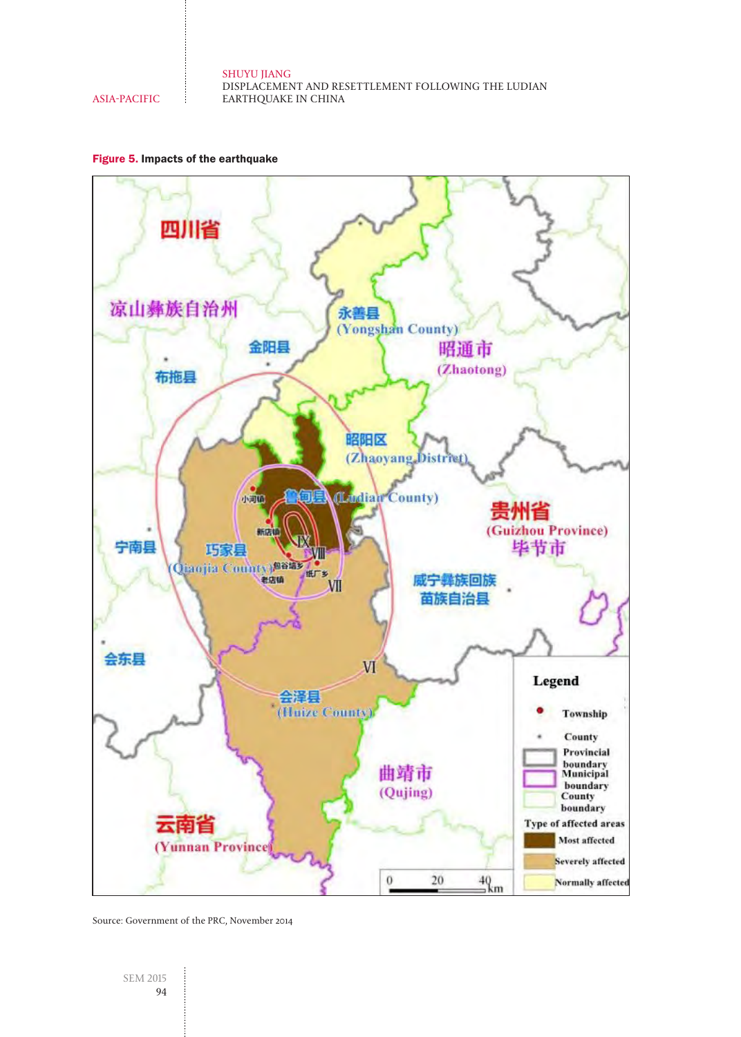### SHUYU JIANG DISPLACEMENT AND RESETTLEMENT FOLLOWING THE LUDIAN

ASIA-PACIFIC

EARTHQUAKE IN CHINA





Source: Government of the PRC, November 2014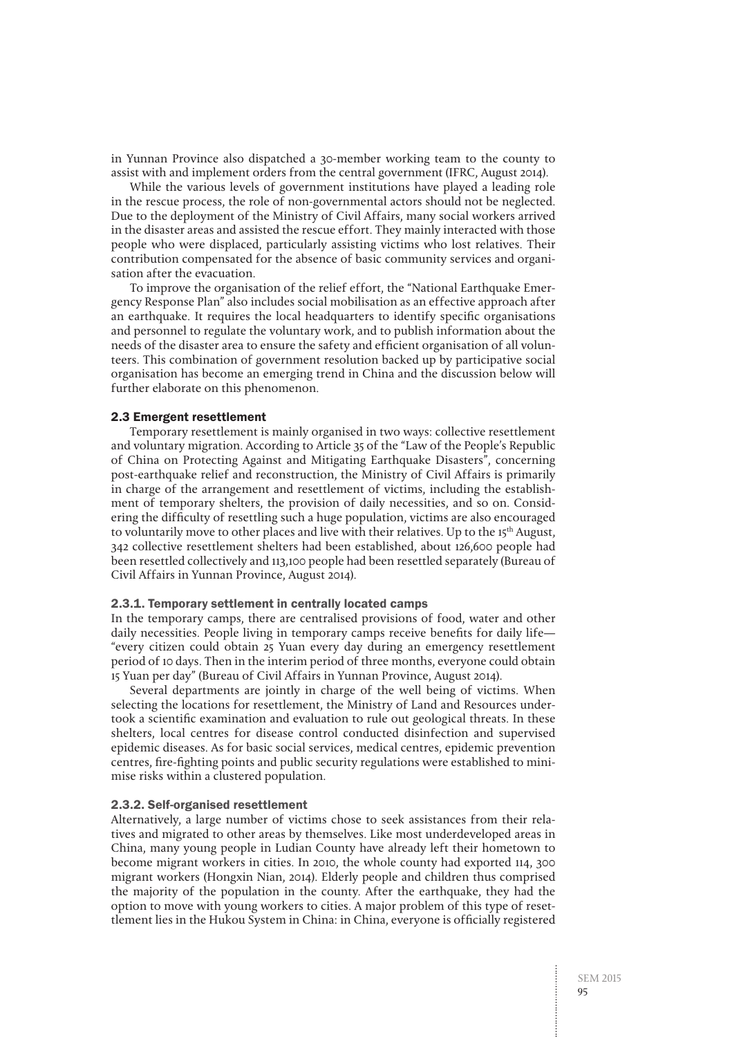in Yunnan Province also dispatched a 30-member working team to the county to assist with and implement orders from the central government (IFRC, August 2014).

While the various levels of government institutions have played a leading role in the rescue process, the role of non-governmental actors should not be neglected. Due to the deployment of the Ministry of Civil Affairs, many social workers arrived in the disaster areas and assisted the rescue effort. They mainly interacted with those people who were displaced, particularly assisting victims who lost relatives. Their contribution compensated for the absence of basic community services and organisation after the evacuation.

To improve the organisation of the relief effort, the "National Earthquake Emergency Response Plan" also includes social mobilisation as an effective approach after an earthquake. It requires the local headquarters to identify specific organisations and personnel to regulate the voluntary work, and to publish information about the needs of the disaster area to ensure the safety and efficient organisation of all volunteers. This combination of government resolution backed up by participative social organisation has become an emerging trend in China and the discussion below will further elaborate on this phenomenon.

#### 2.3 Emergent resettlement

Temporary resettlement is mainly organised in two ways: collective resettlement and voluntary migration. According to Article 35 of the "Law of the People's Republic of China on Protecting Against and Mitigating Earthquake Disasters", concerning post-earthquake relief and reconstruction, the Ministry of Civil Affairs is primarily in charge of the arrangement and resettlement of victims, including the establishment of temporary shelters, the provision of daily necessities, and so on. Considering the difficulty of resettling such a huge population, victims are also encouraged to voluntarily move to other places and live with their relatives. Up to the 15th August, 342 collective resettlement shelters had been established, about 126,600 people had been resettled collectively and 113,100 people had been resettled separately (Bureau of Civil Affairs in Yunnan Province, August 2014).

#### 2.3.1. Temporary settlement in centrally located camps

In the temporary camps, there are centralised provisions of food, water and other daily necessities. People living in temporary camps receive benefits for daily life— "every citizen could obtain 25 Yuan every day during an emergency resettlement period of 10 days. Then in the interim period of three months, everyone could obtain 15 Yuan per day" (Bureau of Civil Affairs in Yunnan Province, August 2014).

Several departments are jointly in charge of the well being of victims. When selecting the locations for resettlement, the Ministry of Land and Resources undertook a scientific examination and evaluation to rule out geological threats. In these shelters, local centres for disease control conducted disinfection and supervised epidemic diseases. As for basic social services, medical centres, epidemic prevention centres, fire-fighting points and public security regulations were established to minimise risks within a clustered population.

#### 2.3.2. Self-organised resettlement

Alternatively, a large number of victims chose to seek assistances from their relatives and migrated to other areas by themselves. Like most underdeveloped areas in China, many young people in Ludian County have already left their hometown to become migrant workers in cities. In 2010, the whole county had exported 114, 300 migrant workers (Hongxin Nian, 2014). Elderly people and children thus comprised the majority of the population in the county. After the earthquake, they had the option to move with young workers to cities. A major problem of this type of resettlement lies in the Hukou System in China: in China, everyone is officially registered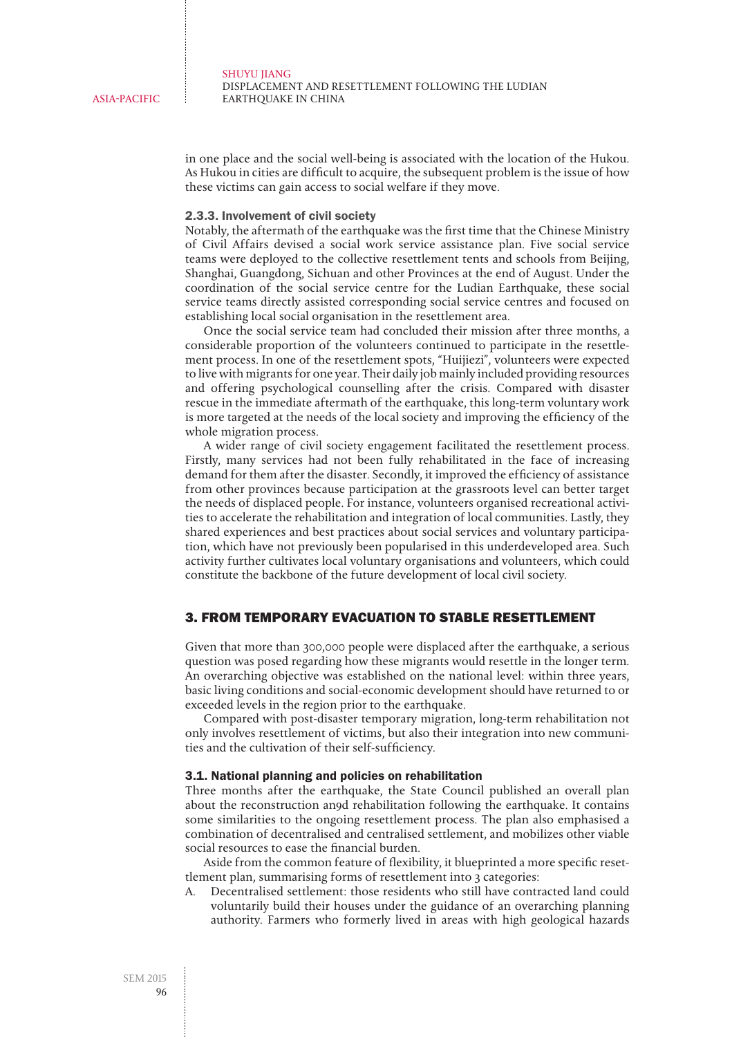in one place and the social well-being is associated with the location of the Hukou. As Hukou in cities are difficult to acquire, the subsequent problem is the issue of how these victims can gain access to social welfare if they move.

#### 2.3.3. Involvement of civil society

Notably, the aftermath of the earthquake was the first time that the Chinese Ministry of Civil Affairs devised a social work service assistance plan. Five social service teams were deployed to the collective resettlement tents and schools from Beijing, Shanghai, Guangdong, Sichuan and other Provinces at the end of August. Under the coordination of the social service centre for the Ludian Earthquake, these social service teams directly assisted corresponding social service centres and focused on establishing local social organisation in the resettlement area.

Once the social service team had concluded their mission after three months, a considerable proportion of the volunteers continued to participate in the resettlement process. In one of the resettlement spots, "Huijiezi", volunteers were expected to live with migrants for one year. Their daily job mainly included providing resources and offering psychological counselling after the crisis. Compared with disaster rescue in the immediate aftermath of the earthquake, this long-term voluntary work is more targeted at the needs of the local society and improving the efficiency of the whole migration process.

A wider range of civil society engagement facilitated the resettlement process. Firstly, many services had not been fully rehabilitated in the face of increasing demand for them after the disaster. Secondly, it improved the efficiency of assistance from other provinces because participation at the grassroots level can better target the needs of displaced people. For instance, volunteers organised recreational activities to accelerate the rehabilitation and integration of local communities. Lastly, they shared experiences and best practices about social services and voluntary participation, which have not previously been popularised in this underdeveloped area. Such activity further cultivates local voluntary organisations and volunteers, which could constitute the backbone of the future development of local civil society.

#### 3. FROM TEMPORARY EVACUATION TO STABLE RESETTLEMENT

Given that more than 300,000 people were displaced after the earthquake, a serious question was posed regarding how these migrants would resettle in the longer term. An overarching objective was established on the national level: within three years, basic living conditions and social-economic development should have returned to or exceeded levels in the region prior to the earthquake.

Compared with post-disaster temporary migration, long-term rehabilitation not only involves resettlement of victims, but also their integration into new communities and the cultivation of their self-sufficiency.

#### 3.1. National planning and policies on rehabilitation

Three months after the earthquake, the State Council published an overall plan about the reconstruction an9d rehabilitation following the earthquake. It contains some similarities to the ongoing resettlement process. The plan also emphasised a combination of decentralised and centralised settlement, and mobilizes other viable social resources to ease the financial burden.

Aside from the common feature of flexibility, it blueprinted a more specific resettlement plan, summarising forms of resettlement into 3 categories:

A. Decentralised settlement: those residents who still have contracted land could voluntarily build their houses under the guidance of an overarching planning authority. Farmers who formerly lived in areas with high geological hazards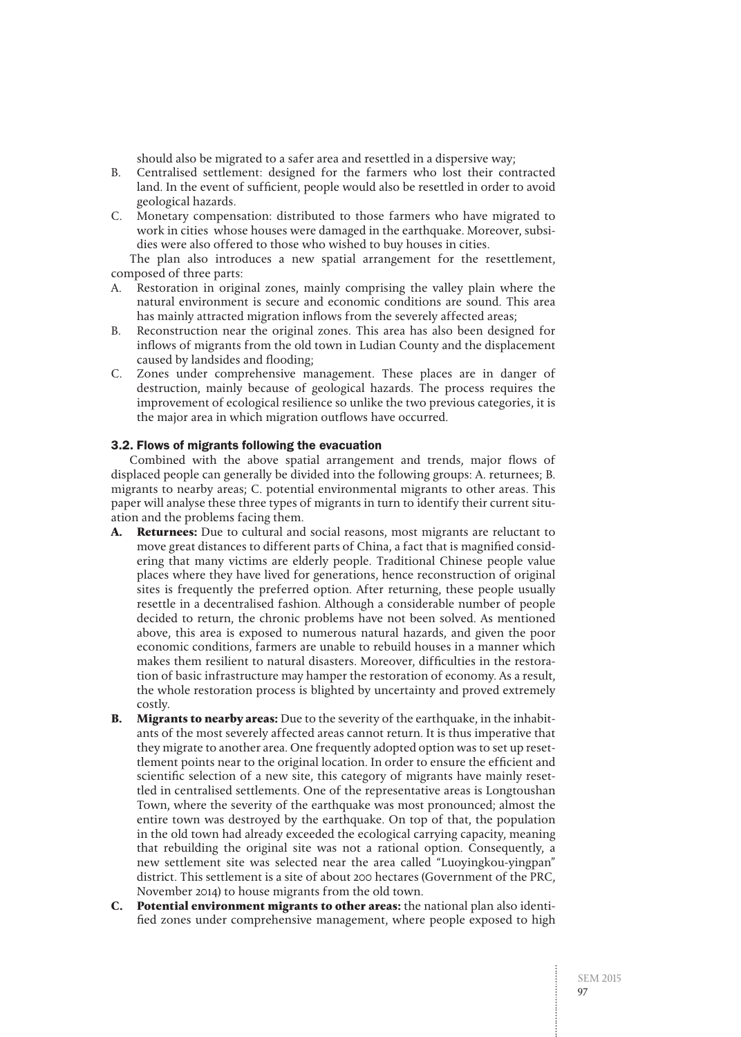should also be migrated to a safer area and resettled in a dispersive way;

- B. Centralised settlement: designed for the farmers who lost their contracted land. In the event of sufficient, people would also be resettled in order to avoid geological hazards.
- C. Monetary compensation: distributed to those farmers who have migrated to work in cities whose houses were damaged in the earthquake. Moreover, subsidies were also offered to those who wished to buy houses in cities.

The plan also introduces a new spatial arrangement for the resettlement, composed of three parts:

- A. Restoration in original zones, mainly comprising the valley plain where the natural environment is secure and economic conditions are sound. This area has mainly attracted migration inflows from the severely affected areas;
- B. Reconstruction near the original zones. This area has also been designed for inflows of migrants from the old town in Ludian County and the displacement caused by landsides and flooding;
- C. Zones under comprehensive management. These places are in danger of destruction, mainly because of geological hazards. The process requires the improvement of ecological resilience so unlike the two previous categories, it is the major area in which migration outflows have occurred.

#### 3.2. Flows of migrants following the evacuation

Combined with the above spatial arrangement and trends, major flows of displaced people can generally be divided into the following groups: A. returnees; B. migrants to nearby areas; C. potential environmental migrants to other areas. This paper will analyse these three types of migrants in turn to identify their current situation and the problems facing them.

- **A. Returnees:** Due to cultural and social reasons, most migrants are reluctant to move great distances to different parts of China, a fact that is magnified considering that many victims are elderly people. Traditional Chinese people value places where they have lived for generations, hence reconstruction of original sites is frequently the preferred option. After returning, these people usually resettle in a decentralised fashion. Although a considerable number of people decided to return, the chronic problems have not been solved. As mentioned above, this area is exposed to numerous natural hazards, and given the poor economic conditions, farmers are unable to rebuild houses in a manner which makes them resilient to natural disasters. Moreover, difficulties in the restoration of basic infrastructure may hamper the restoration of economy. As a result, the whole restoration process is blighted by uncertainty and proved extremely costly.
- **B. Migrants to nearby areas:** Due to the severity of the earthquake, in the inhabitants of the most severely affected areas cannot return. It is thus imperative that they migrate to another area. One frequently adopted option was to set up resettlement points near to the original location. In order to ensure the efficient and scientific selection of a new site, this category of migrants have mainly resettled in centralised settlements. One of the representative areas is Longtoushan Town, where the severity of the earthquake was most pronounced; almost the entire town was destroyed by the earthquake. On top of that, the population in the old town had already exceeded the ecological carrying capacity, meaning that rebuilding the original site was not a rational option. Consequently, a new settlement site was selected near the area called "Luoyingkou-yingpan" district. This settlement is a site of about 200 hectares (Government of the PRC, November 2014) to house migrants from the old town.
- **C. Potential environment migrants to other areas:** the national plan also identified zones under comprehensive management, where people exposed to high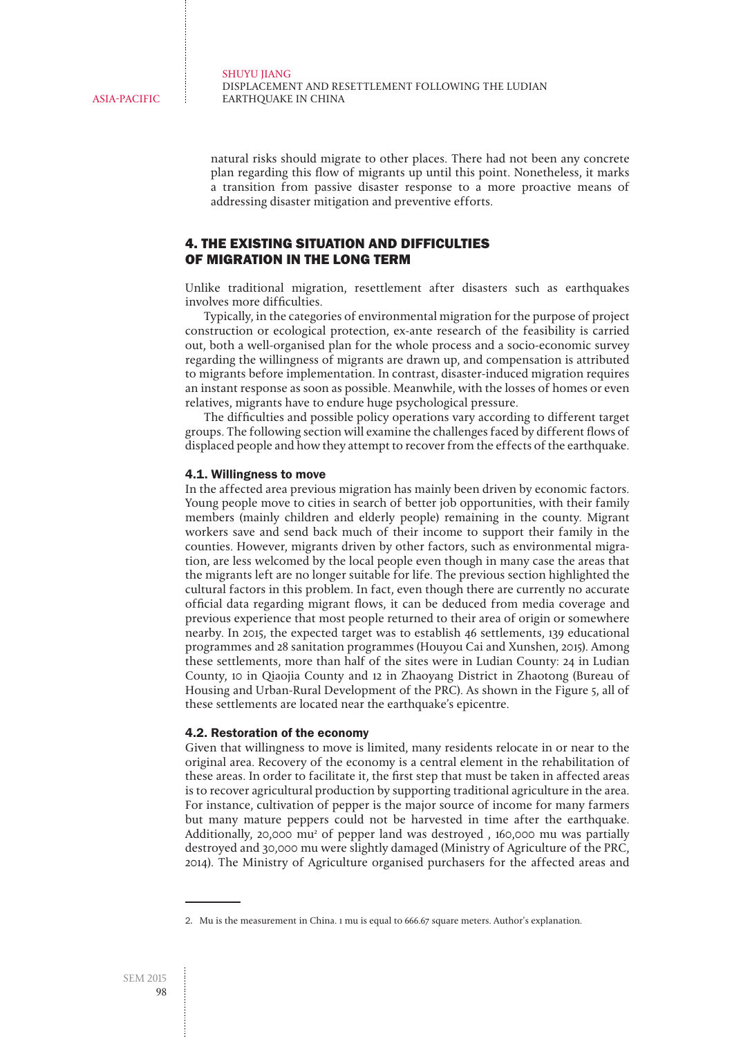natural risks should migrate to other places. There had not been any concrete plan regarding this flow of migrants up until this point. Nonetheless, it marks a transition from passive disaster response to a more proactive means of addressing disaster mitigation and preventive efforts.

#### 4. THE EXISTING SITUATION AND DIFFICULTIES OF MIGRATION IN THE LONG TERM

Unlike traditional migration, resettlement after disasters such as earthquakes involves more difficulties.

Typically, in the categories of environmental migration for the purpose of project construction or ecological protection, ex-ante research of the feasibility is carried out, both a well-organised plan for the whole process and a socio-economic survey regarding the willingness of migrants are drawn up, and compensation is attributed to migrants before implementation. In contrast, disaster-induced migration requires an instant response as soon as possible. Meanwhile, with the losses of homes or even relatives, migrants have to endure huge psychological pressure.

The difficulties and possible policy operations vary according to different target groups. The following section will examine the challenges faced by different flows of displaced people and how they attempt to recover from the effects of the earthquake.

#### 4.1. Willingness to move

In the affected area previous migration has mainly been driven by economic factors. Young people move to cities in search of better job opportunities, with their family members (mainly children and elderly people) remaining in the county. Migrant workers save and send back much of their income to support their family in the counties. However, migrants driven by other factors, such as environmental migration, are less welcomed by the local people even though in many case the areas that the migrants left are no longer suitable for life. The previous section highlighted the cultural factors in this problem. In fact, even though there are currently no accurate official data regarding migrant flows, it can be deduced from media coverage and previous experience that most people returned to their area of origin or somewhere nearby. In 2015, the expected target was to establish 46 settlements, 139 educational programmes and 28 sanitation programmes (Houyou Cai and Xunshen, 2015). Among these settlements, more than half of the sites were in Ludian County: 24 in Ludian County, 10 in Qiaojia County and 12 in Zhaoyang District in Zhaotong (Bureau of Housing and Urban-Rural Development of the PRC). As shown in the Figure 5, all of these settlements are located near the earthquake's epicentre.

#### 4.2. Restoration of the economy

Given that willingness to move is limited, many residents relocate in or near to the original area. Recovery of the economy is a central element in the rehabilitation of these areas. In order to facilitate it, the first step that must be taken in affected areas is to recover agricultural production by supporting traditional agriculture in the area. For instance, cultivation of pepper is the major source of income for many farmers but many mature peppers could not be harvested in time after the earthquake. Additionally, 20,000 mu<sup>2</sup> of pepper land was destroyed, 160,000 mu was partially destroyed and 30,000 mu were slightly damaged (Ministry of Agriculture of the PRC, 2014). The Ministry of Agriculture organised purchasers for the affected areas and

<sup>2.</sup>  Mu is the measurement in China. 1 mu is equal to 666.67 square meters. Author's explanation.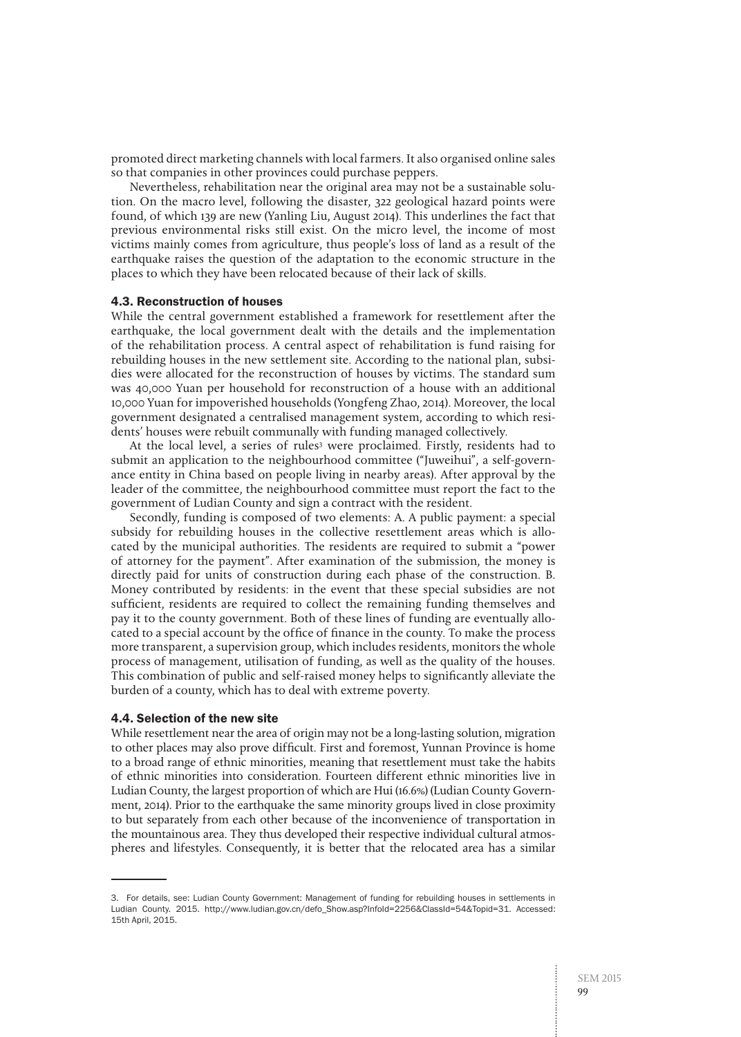promoted direct marketing channels with local farmers. It also organised online sales so that companies in other provinces could purchase peppers.

Nevertheless, rehabilitation near the original area may not be a sustainable solution. On the macro level, following the disaster, 322 geological hazard points were found, of which 139 are new (Yanling Liu, August 2014). This underlines the fact that previous environmental risks still exist. On the micro level, the income of most victims mainly comes from agriculture, thus people's loss of land as a result of the earthquake raises the question of the adaptation to the economic structure in the places to which they have been relocated because of their lack of skills.

#### 4.3. Reconstruction of houses

While the central government established a framework for resettlement after the earthquake, the local government dealt with the details and the implementation of the rehabilitation process. A central aspect of rehabilitation is fund raising for rebuilding houses in the new settlement site. According to the national plan, subsidies were allocated for the reconstruction of houses by victims. The standard sum was 40,000 Yuan per household for reconstruction of a house with an additional 10,000 Yuan for impoverished households (Yongfeng Zhao, 2014). Moreover, the local government designated a centralised management system, according to which residents' houses were rebuilt communally with funding managed collectively.

At the local level, a series of rules<sup>3</sup> were proclaimed. Firstly, residents had to submit an application to the neighbourhood committee ("Juweihui", a self-governance entity in China based on people living in nearby areas). After approval by the leader of the committee, the neighbourhood committee must report the fact to the government of Ludian County and sign a contract with the resident.

Secondly, funding is composed of two elements: A. A public payment: a special subsidy for rebuilding houses in the collective resettlement areas which is allocated by the municipal authorities. The residents are required to submit a "power of attorney for the payment". After examination of the submission, the money is directly paid for units of construction during each phase of the construction. B. Money contributed by residents: in the event that these special subsidies are not sufficient, residents are required to collect the remaining funding themselves and pay it to the county government. Both of these lines of funding are eventually allocated to a special account by the office of finance in the county. To make the process more transparent, a supervision group, which includes residents, monitors the whole process of management, utilisation of funding, as well as the quality of the houses. This combination of public and self-raised money helps to significantly alleviate the burden of a county, which has to deal with extreme poverty.

#### 4.4. Selection of the new site

While resettlement near the area of origin may not be a long-lasting solution, migration to other places may also prove difficult. First and foremost, Yunnan Province is home to a broad range of ethnic minorities, meaning that resettlement must take the habits of ethnic minorities into consideration. Fourteen different ethnic minorities live in Ludian County, the largest proportion of which are Hui (16.6%) (Ludian County Government, 2014). Prior to the earthquake the same minority groups lived in close proximity to but separately from each other because of the inconvenience of transportation in the mountainous area. They thus developed their respective individual cultural atmospheres and lifestyles. Consequently, it is better that the relocated area has a similar

<sup>3.</sup> For details, see: Ludian County Government: Management of funding for rebuilding houses in settlements in Ludian County. 2015. http://www.ludian.gov.cn/defo\_Show.asp?InfoId=2256&ClassId=54&Topid=31. Accessed: 15th April, 2015.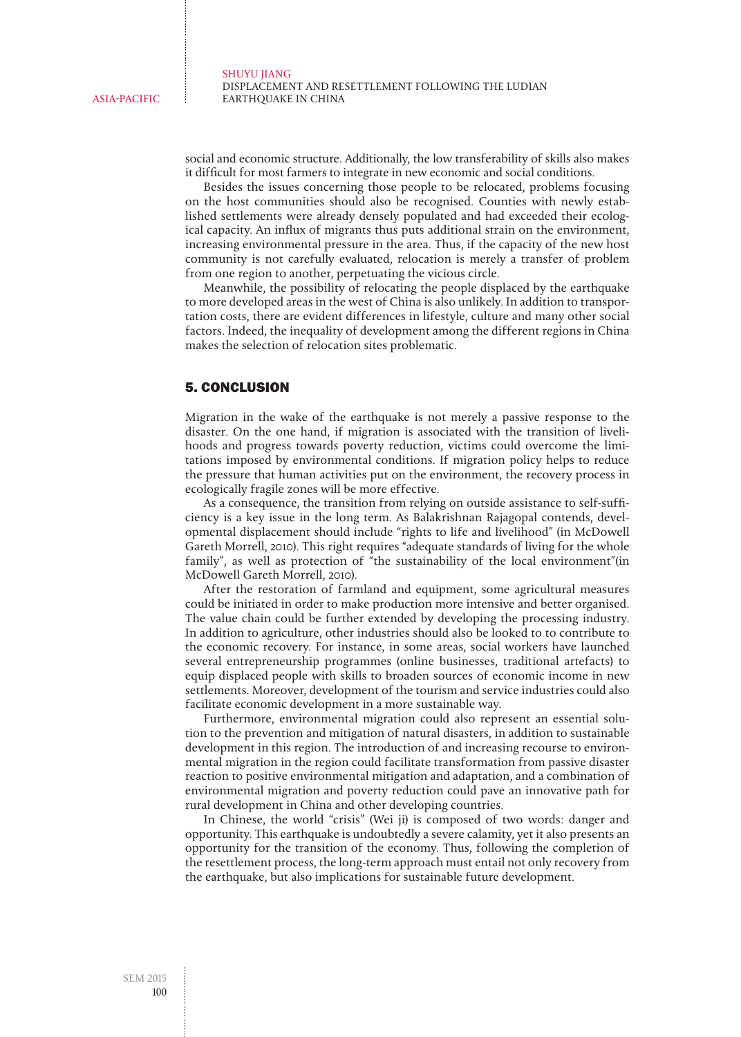social and economic structure. Additionally, the low transferability of skills also makes it difficult for most farmers to integrate in new economic and social conditions.

Besides the issues concerning those people to be relocated, problems focusing on the host communities should also be recognised. Counties with newly established settlements were already densely populated and had exceeded their ecological capacity. An influx of migrants thus puts additional strain on the environment, increasing environmental pressure in the area. Thus, if the capacity of the new host community is not carefully evaluated, relocation is merely a transfer of problem from one region to another, perpetuating the vicious circle.

Meanwhile, the possibility of relocating the people displaced by the earthquake to more developed areas in the west of China is also unlikely. In addition to transportation costs, there are evident differences in lifestyle, culture and many other social factors. Indeed, the inequality of development among the different regions in China makes the selection of relocation sites problematic.

#### 5. CONCLUSION

Migration in the wake of the earthquake is not merely a passive response to the disaster. On the one hand, if migration is associated with the transition of livelihoods and progress towards poverty reduction, victims could overcome the limitations imposed by environmental conditions. If migration policy helps to reduce the pressure that human activities put on the environment, the recovery process in ecologically fragile zones will be more effective.

As a consequence, the transition from relying on outside assistance to self-sufficiency is a key issue in the long term. As Balakrishnan Rajagopal contends, developmental displacement should include "rights to life and livelihood" (in McDowell Gareth Morrell, 2010). This right requires "adequate standards of living for the whole family", as well as protection of "the sustainability of the local environment"(in McDowell Gareth Morrell, 2010).

After the restoration of farmland and equipment, some agricultural measures could be initiated in order to make production more intensive and better organised. The value chain could be further extended by developing the processing industry. In addition to agriculture, other industries should also be looked to to contribute to the economic recovery. For instance, in some areas, social workers have launched several entrepreneurship programmes (online businesses, traditional artefacts) to equip displaced people with skills to broaden sources of economic income in new settlements. Moreover, development of the tourism and service industries could also facilitate economic development in a more sustainable way.

Furthermore, environmental migration could also represent an essential solution to the prevention and mitigation of natural disasters, in addition to sustainable development in this region. The introduction of and increasing recourse to environmental migration in the region could facilitate transformation from passive disaster reaction to positive environmental mitigation and adaptation, and a combination of environmental migration and poverty reduction could pave an innovative path for rural development in China and other developing countries.

In Chinese, the world "crisis" (Wei ji) is composed of two words: danger and opportunity. This earthquake is undoubtedly a severe calamity, yet it also presents an opportunity for the transition of the economy. Thus, following the completion of the resettlement process, the long-term approach must entail not only recovery from the earthquake, but also implications for sustainable future development.